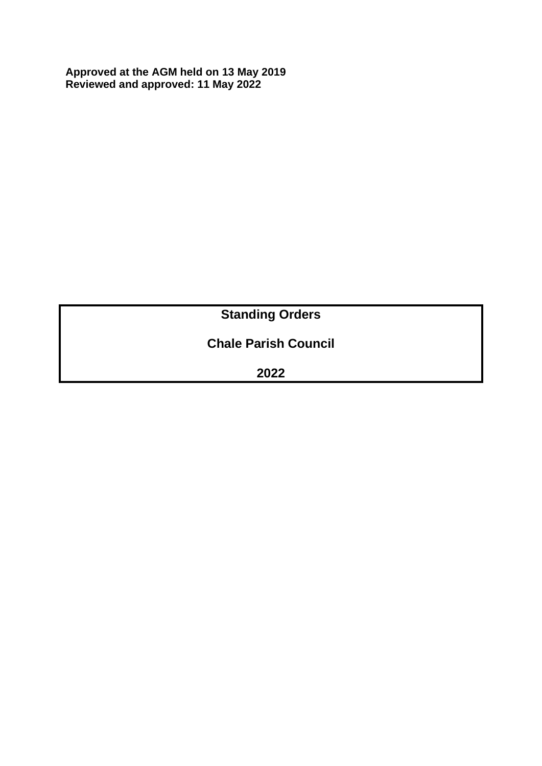**Approved at the AGM held on 13 May 2019 Reviewed and approved: 11 May 2022**

# **Standing Orders**

# **Chale Parish Council**

**2022**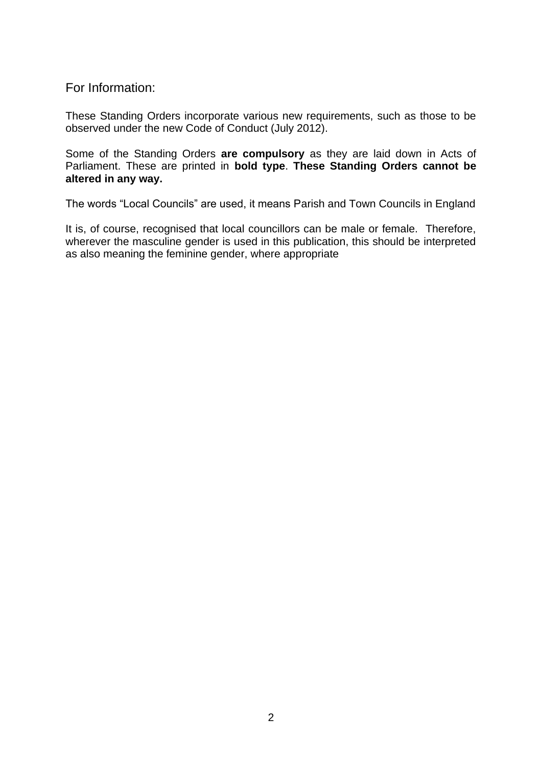For Information:

These Standing Orders incorporate various new requirements, such as those to be observed under the new Code of Conduct (July 2012).

Some of the Standing Orders **are compulsory** as they are laid down in Acts of Parliament. These are printed in **bold type**. **These Standing Orders cannot be altered in any way.**

The words "Local Councils" are used, it means Parish and Town Councils in England

It is, of course, recognised that local councillors can be male or female. Therefore, wherever the masculine gender is used in this publication, this should be interpreted as also meaning the feminine gender, where appropriate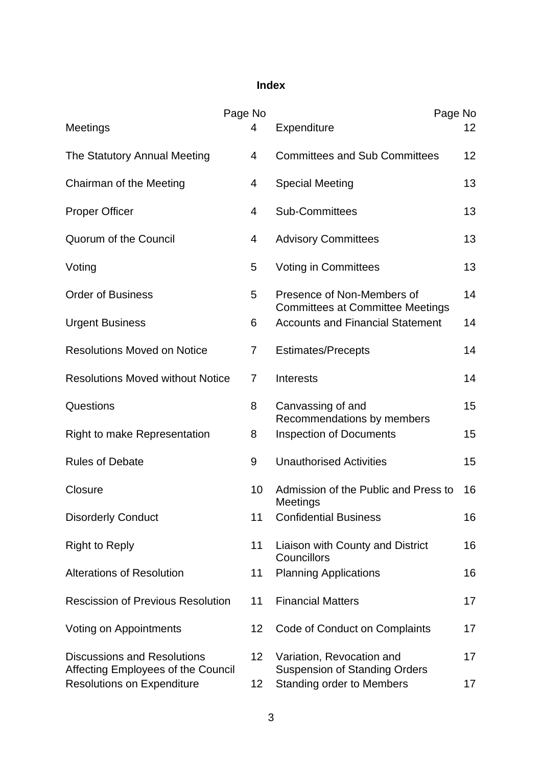# **Index**

|                                                                          | Page No         |                                                                       | Page No |
|--------------------------------------------------------------------------|-----------------|-----------------------------------------------------------------------|---------|
| Meetings                                                                 | 4               | Expenditure                                                           | 12      |
| The Statutory Annual Meeting                                             | $\overline{4}$  | <b>Committees and Sub Committees</b>                                  | 12      |
| Chairman of the Meeting                                                  | 4               | <b>Special Meeting</b>                                                | 13      |
| <b>Proper Officer</b>                                                    | 4               | <b>Sub-Committees</b>                                                 | 13      |
| Quorum of the Council                                                    | 4               | <b>Advisory Committees</b>                                            | 13      |
| Voting                                                                   | 5               | <b>Voting in Committees</b>                                           | 13      |
| <b>Order of Business</b>                                                 | 5               | Presence of Non-Members of<br><b>Committees at Committee Meetings</b> | 14      |
| <b>Urgent Business</b>                                                   | 6               | <b>Accounts and Financial Statement</b>                               | 14      |
| <b>Resolutions Moved on Notice</b>                                       | $\overline{7}$  | <b>Estimates/Precepts</b>                                             | 14      |
| <b>Resolutions Moved without Notice</b>                                  | 7               | <b>Interests</b>                                                      | 14      |
| Questions                                                                | 8               | Canvassing of and<br>Recommendations by members                       | 15      |
| <b>Right to make Representation</b>                                      | 8               | <b>Inspection of Documents</b>                                        | 15      |
| <b>Rules of Debate</b>                                                   | 9               | <b>Unauthorised Activities</b>                                        | 15      |
| Closure                                                                  | 10 <sup>°</sup> | Admission of the Public and Press to<br><b>Meetings</b>               | 16      |
| <b>Disorderly Conduct</b>                                                | 11              | <b>Confidential Business</b>                                          | 16      |
| <b>Right to Reply</b>                                                    | 11              | Liaison with County and District<br>Councillors                       | 16      |
| <b>Alterations of Resolution</b>                                         | 11              | <b>Planning Applications</b>                                          | 16      |
| <b>Rescission of Previous Resolution</b>                                 | 11              | <b>Financial Matters</b>                                              | 17      |
| Voting on Appointments                                                   | 12              | Code of Conduct on Complaints                                         | 17      |
| <b>Discussions and Resolutions</b><br>Affecting Employees of the Council | 12              | Variation, Revocation and<br><b>Suspension of Standing Orders</b>     | 17      |
| <b>Resolutions on Expenditure</b>                                        | 12              | <b>Standing order to Members</b>                                      | 17      |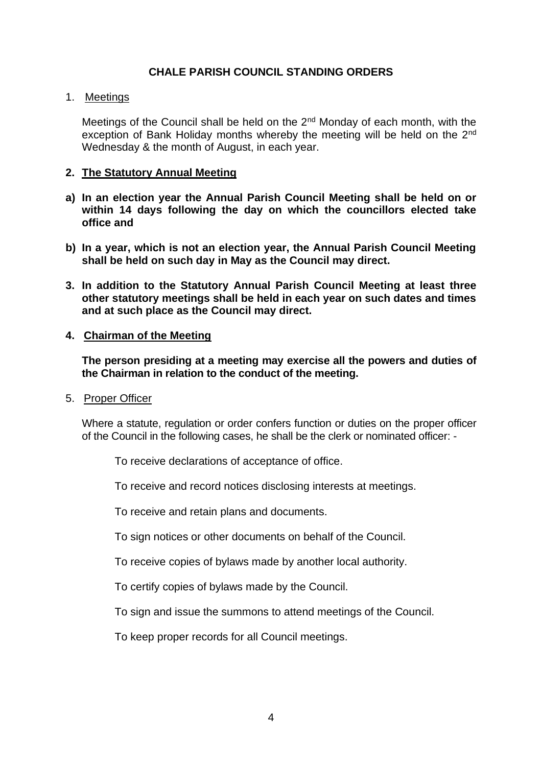# **CHALE PARISH COUNCIL STANDING ORDERS**

# 1. Meetings

Meetings of the Council shall be held on the 2<sup>nd</sup> Monday of each month, with the exception of Bank Holiday months whereby the meeting will be held on the 2<sup>nd</sup> Wednesday & the month of August, in each year.

# **2. The Statutory Annual Meeting**

- **a) In an election year the Annual Parish Council Meeting shall be held on or within 14 days following the day on which the councillors elected take office and**
- **b) In a year, which is not an election year, the Annual Parish Council Meeting shall be held on such day in May as the Council may direct.**
- **3. In addition to the Statutory Annual Parish Council Meeting at least three other statutory meetings shall be held in each year on such dates and times and at such place as the Council may direct.**

# **4. Chairman of the Meeting**

**The person presiding at a meeting may exercise all the powers and duties of the Chairman in relation to the conduct of the meeting.**

5. Proper Officer

Where a statute, regulation or order confers function or duties on the proper officer of the Council in the following cases, he shall be the clerk or nominated officer: -

To receive declarations of acceptance of office.

To receive and record notices disclosing interests at meetings.

To receive and retain plans and documents.

To sign notices or other documents on behalf of the Council.

To receive copies of bylaws made by another local authority.

To certify copies of bylaws made by the Council.

To sign and issue the summons to attend meetings of the Council.

To keep proper records for all Council meetings.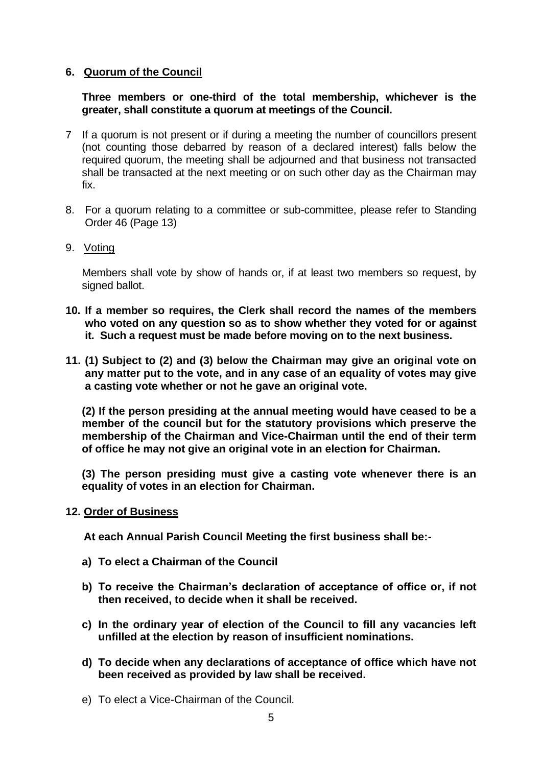# **6. Quorum of the Council**

**Three members or one-third of the total membership, whichever is the greater, shall constitute a quorum at meetings of the Council.**

- 7 If a quorum is not present or if during a meeting the number of councillors present (not counting those debarred by reason of a declared interest) falls below the required quorum, the meeting shall be adjourned and that business not transacted shall be transacted at the next meeting or on such other day as the Chairman may fix.
- 8. For a quorum relating to a committee or sub-committee, please refer to Standing Order 46 (Page 13)
- 9. Voting

Members shall vote by show of hands or, if at least two members so request, by signed ballot.

- **10. If a member so requires, the Clerk shall record the names of the members who voted on any question so as to show whether they voted for or against it. Such a request must be made before moving on to the next business.**
- **11. (1) Subject to (2) and (3) below the Chairman may give an original vote on any matter put to the vote, and in any case of an equality of votes may give a casting vote whether or not he gave an original vote.**

**(2) If the person presiding at the annual meeting would have ceased to be a member of the council but for the statutory provisions which preserve the membership of the Chairman and Vice-Chairman until the end of their term of office he may not give an original vote in an election for Chairman.**

**(3) The person presiding must give a casting vote whenever there is an equality of votes in an election for Chairman.**

#### **12. Order of Business**

 **At each Annual Parish Council Meeting the first business shall be:-**

- **a) To elect a Chairman of the Council**
- **b) To receive the Chairman's declaration of acceptance of office or, if not then received, to decide when it shall be received.**
- **c) In the ordinary year of election of the Council to fill any vacancies left unfilled at the election by reason of insufficient nominations.**
- **d) To decide when any declarations of acceptance of office which have not been received as provided by law shall be received.**
- e) To elect a Vice-Chairman of the Council.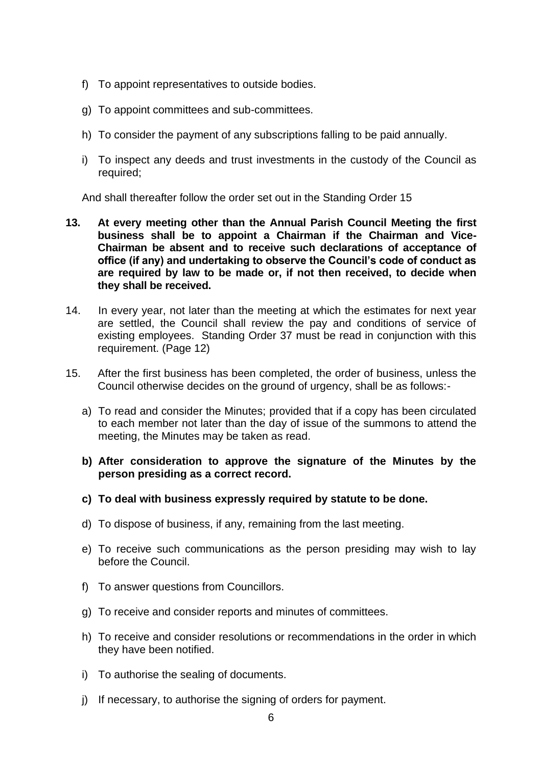- f) To appoint representatives to outside bodies.
- g) To appoint committees and sub-committees.
- h) To consider the payment of any subscriptions falling to be paid annually.
- i) To inspect any deeds and trust investments in the custody of the Council as required;

And shall thereafter follow the order set out in the Standing Order 15

- **13. At every meeting other than the Annual Parish Council Meeting the first business shall be to appoint a Chairman if the Chairman and Vice-Chairman be absent and to receive such declarations of acceptance of office (if any) and undertaking to observe the Council's code of conduct as are required by law to be made or, if not then received, to decide when they shall be received.**
- 14. In every year, not later than the meeting at which the estimates for next year are settled, the Council shall review the pay and conditions of service of existing employees. Standing Order 37 must be read in conjunction with this requirement. (Page 12)
- 15. After the first business has been completed, the order of business, unless the Council otherwise decides on the ground of urgency, shall be as follows:
	- a) To read and consider the Minutes; provided that if a copy has been circulated to each member not later than the day of issue of the summons to attend the meeting, the Minutes may be taken as read.
	- **b) After consideration to approve the signature of the Minutes by the person presiding as a correct record.**
	- **c) To deal with business expressly required by statute to be done.**
	- d) To dispose of business, if any, remaining from the last meeting.
	- e) To receive such communications as the person presiding may wish to lay before the Council.
	- f) To answer questions from Councillors.
	- g) To receive and consider reports and minutes of committees.
	- h) To receive and consider resolutions or recommendations in the order in which they have been notified.
	- i) To authorise the sealing of documents.
	- j) If necessary, to authorise the signing of orders for payment.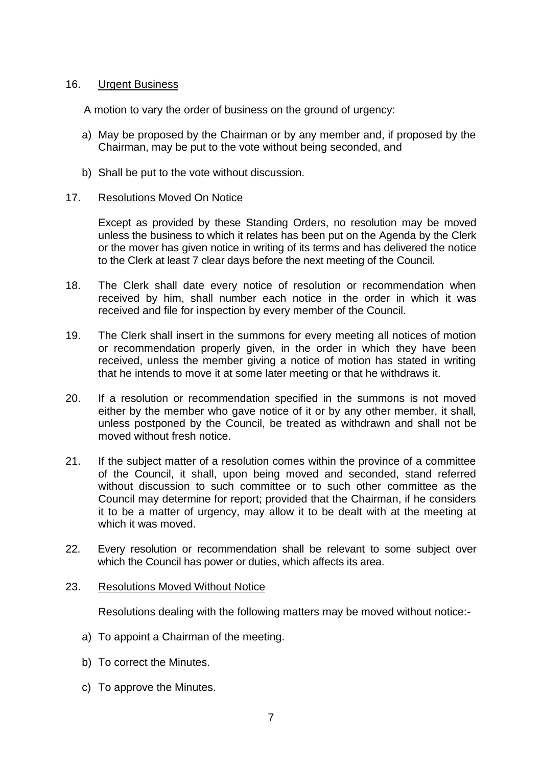# 16. Urgent Business

A motion to vary the order of business on the ground of urgency:

- a) May be proposed by the Chairman or by any member and, if proposed by the Chairman, may be put to the vote without being seconded, and
- b) Shall be put to the vote without discussion.

# 17. Resolutions Moved On Notice

Except as provided by these Standing Orders, no resolution may be moved unless the business to which it relates has been put on the Agenda by the Clerk or the mover has given notice in writing of its terms and has delivered the notice to the Clerk at least 7 clear days before the next meeting of the Council.

- 18. The Clerk shall date every notice of resolution or recommendation when received by him, shall number each notice in the order in which it was received and file for inspection by every member of the Council.
- 19. The Clerk shall insert in the summons for every meeting all notices of motion or recommendation properly given, in the order in which they have been received, unless the member giving a notice of motion has stated in writing that he intends to move it at some later meeting or that he withdraws it.
- 20. If a resolution or recommendation specified in the summons is not moved either by the member who gave notice of it or by any other member, it shall, unless postponed by the Council, be treated as withdrawn and shall not be moved without fresh notice.
- 21. If the subject matter of a resolution comes within the province of a committee of the Council, it shall, upon being moved and seconded, stand referred without discussion to such committee or to such other committee as the Council may determine for report; provided that the Chairman, if he considers it to be a matter of urgency, may allow it to be dealt with at the meeting at which it was moved.
- 22. Every resolution or recommendation shall be relevant to some subject over which the Council has power or duties, which affects its area.

#### 23. Resolutions Moved Without Notice

Resolutions dealing with the following matters may be moved without notice:-

- a) To appoint a Chairman of the meeting.
- b) To correct the Minutes.
- c) To approve the Minutes.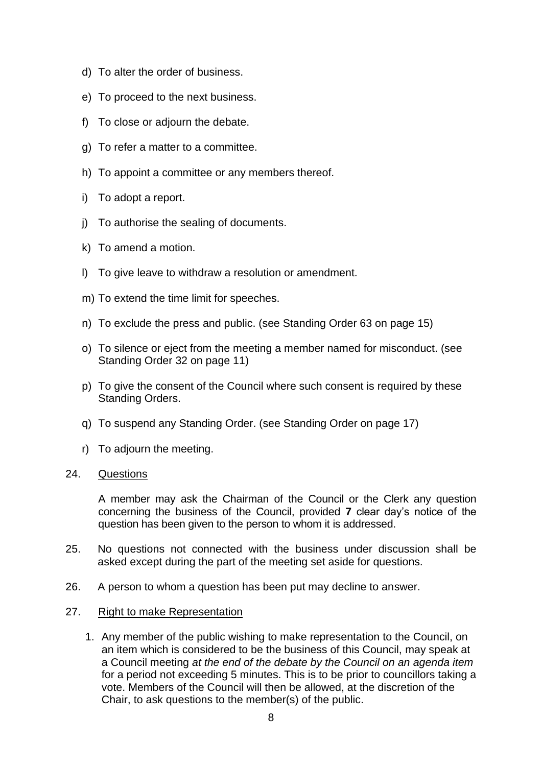- d) To alter the order of business.
- e) To proceed to the next business.
- f) To close or adjourn the debate.
- g) To refer a matter to a committee.
- h) To appoint a committee or any members thereof.
- i) To adopt a report.
- j) To authorise the sealing of documents.
- k) To amend a motion.
- l) To give leave to withdraw a resolution or amendment.
- m) To extend the time limit for speeches.
- n) To exclude the press and public. (see Standing Order 63 on page 15)
- o) To silence or eject from the meeting a member named for misconduct. (see Standing Order 32 on page 11)
- p) To give the consent of the Council where such consent is required by these Standing Orders.
- q) To suspend any Standing Order. (see Standing Order on page 17)
- r) To adjourn the meeting.

#### 24. Questions

A member may ask the Chairman of the Council or the Clerk any question concerning the business of the Council, provided **7** clear day's notice of the question has been given to the person to whom it is addressed.

- 25. No questions not connected with the business under discussion shall be asked except during the part of the meeting set aside for questions.
- 26. A person to whom a question has been put may decline to answer.
- 27. Right to make Representation
	- 1. Any member of the public wishing to make representation to the Council, on an item which is considered to be the business of this Council, may speak at a Council meeting *at the end of the debate by the Council on an agenda item*  for a period not exceeding 5 minutes. This is to be prior to councillors taking a vote. Members of the Council will then be allowed, at the discretion of the Chair, to ask questions to the member(s) of the public.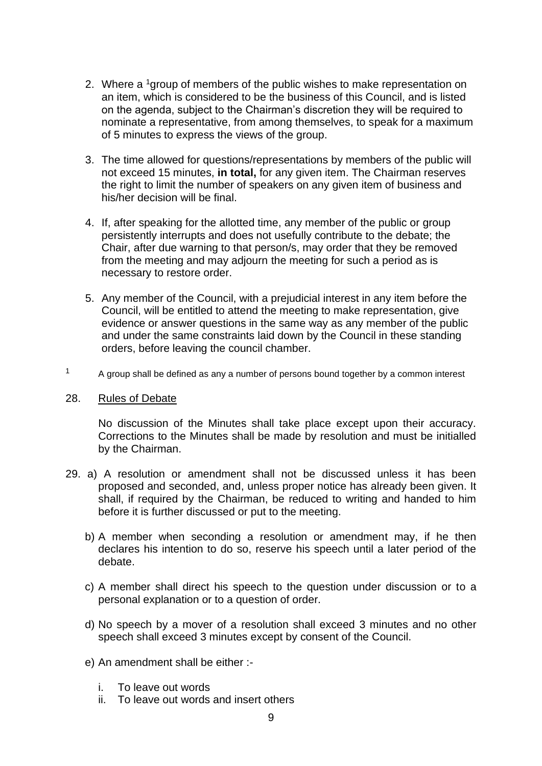- 2. Where a <sup>1</sup> group of members of the public wishes to make representation on an item, which is considered to be the business of this Council, and is listed on the agenda, subject to the Chairman's discretion they will be required to nominate a representative, from among themselves, to speak for a maximum of 5 minutes to express the views of the group.
- 3. The time allowed for questions/representations by members of the public will not exceed 15 minutes, **in total,** for any given item. The Chairman reserves the right to limit the number of speakers on any given item of business and his/her decision will be final.
- 4. If, after speaking for the allotted time, any member of the public or group persistently interrupts and does not usefully contribute to the debate; the Chair, after due warning to that person/s, may order that they be removed from the meeting and may adjourn the meeting for such a period as is necessary to restore order.
- 5. Any member of the Council, with a prejudicial interest in any item before the Council, will be entitled to attend the meeting to make representation, give evidence or answer questions in the same way as any member of the public and under the same constraints laid down by the Council in these standing orders, before leaving the council chamber.
- $1 A$  group shall be defined as any a number of persons bound together by a common interest

#### 28. Rules of Debate

No discussion of the Minutes shall take place except upon their accuracy. Corrections to the Minutes shall be made by resolution and must be initialled by the Chairman.

- 29. a) A resolution or amendment shall not be discussed unless it has been proposed and seconded, and, unless proper notice has already been given. It shall, if required by the Chairman, be reduced to writing and handed to him before it is further discussed or put to the meeting.
	- b) A member when seconding a resolution or amendment may, if he then declares his intention to do so, reserve his speech until a later period of the debate.
	- c) A member shall direct his speech to the question under discussion or to a personal explanation or to a question of order.
	- d) No speech by a mover of a resolution shall exceed 3 minutes and no other speech shall exceed 3 minutes except by consent of the Council.
	- e) An amendment shall be either :
		- i. To leave out words
		- ii. To leave out words and insert others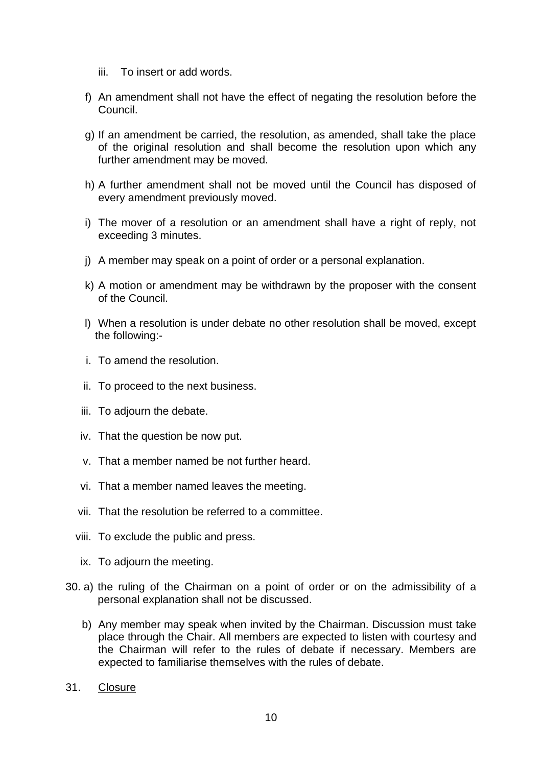- iii. To insert or add words.
- f) An amendment shall not have the effect of negating the resolution before the Council.
- g) If an amendment be carried, the resolution, as amended, shall take the place of the original resolution and shall become the resolution upon which any further amendment may be moved.
- h) A further amendment shall not be moved until the Council has disposed of every amendment previously moved.
- i) The mover of a resolution or an amendment shall have a right of reply, not exceeding 3 minutes.
- j) A member may speak on a point of order or a personal explanation.
- k) A motion or amendment may be withdrawn by the proposer with the consent of the Council.
- l) When a resolution is under debate no other resolution shall be moved, except the following:-
- i. To amend the resolution.
- ii. To proceed to the next business.
- iii. To adjourn the debate.
- iv. That the question be now put.
- v. That a member named be not further heard.
- vi. That a member named leaves the meeting.
- vii. That the resolution be referred to a committee.
- viii. To exclude the public and press.
- ix. To adjourn the meeting.
- 30. a) the ruling of the Chairman on a point of order or on the admissibility of a personal explanation shall not be discussed.
	- b) Any member may speak when invited by the Chairman. Discussion must take place through the Chair. All members are expected to listen with courtesy and the Chairman will refer to the rules of debate if necessary. Members are expected to familiarise themselves with the rules of debate.
- 31. Closure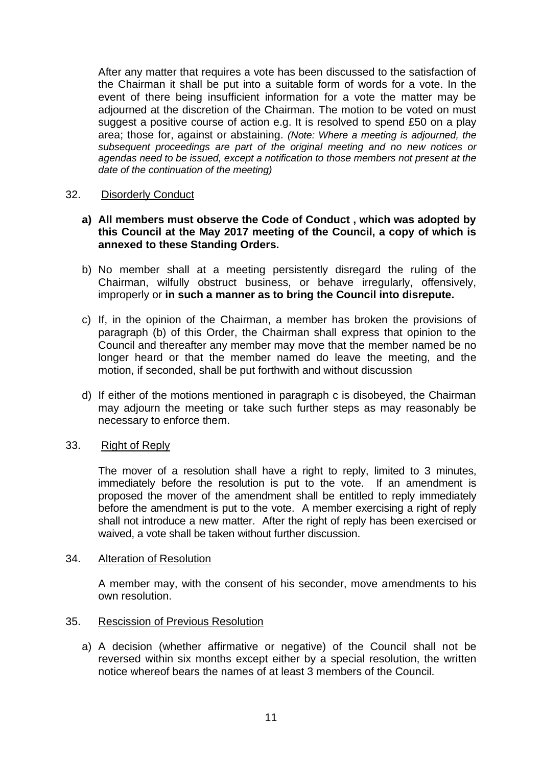After any matter that requires a vote has been discussed to the satisfaction of the Chairman it shall be put into a suitable form of words for a vote. In the event of there being insufficient information for a vote the matter may be adjourned at the discretion of the Chairman. The motion to be voted on must suggest a positive course of action e.g. It is resolved to spend £50 on a play area; those for, against or abstaining. *(Note: Where a meeting is adjourned, the subsequent proceedings are part of the original meeting and no new notices or agendas need to be issued, except a notification to those members not present at the date of the continuation of the meeting)*

# 32. Disorderly Conduct

# **a) All members must observe the Code of Conduct , which was adopted by this Council at the May 2017 meeting of the Council, a copy of which is annexed to these Standing Orders.**

- b) No member shall at a meeting persistently disregard the ruling of the Chairman, wilfully obstruct business, or behave irregularly, offensively, improperly or **in such a manner as to bring the Council into disrepute.**
- c) If, in the opinion of the Chairman, a member has broken the provisions of paragraph (b) of this Order, the Chairman shall express that opinion to the Council and thereafter any member may move that the member named be no longer heard or that the member named do leave the meeting, and the motion, if seconded, shall be put forthwith and without discussion
- d) If either of the motions mentioned in paragraph c is disobeyed, the Chairman may adjourn the meeting or take such further steps as may reasonably be necessary to enforce them.

#### 33. Right of Reply

The mover of a resolution shall have a right to reply, limited to 3 minutes, immediately before the resolution is put to the vote. If an amendment is proposed the mover of the amendment shall be entitled to reply immediately before the amendment is put to the vote. A member exercising a right of reply shall not introduce a new matter. After the right of reply has been exercised or waived, a vote shall be taken without further discussion.

#### 34. Alteration of Resolution

A member may, with the consent of his seconder, move amendments to his own resolution.

# 35. Rescission of Previous Resolution

a) A decision (whether affirmative or negative) of the Council shall not be reversed within six months except either by a special resolution, the written notice whereof bears the names of at least 3 members of the Council.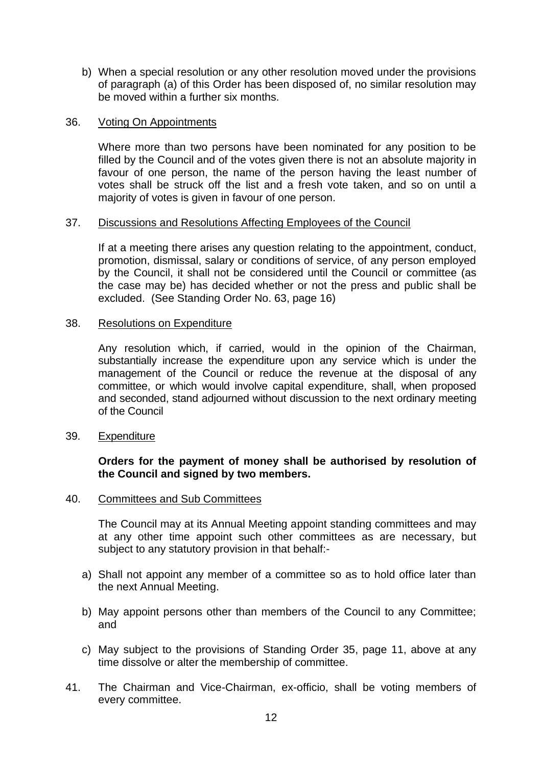b) When a special resolution or any other resolution moved under the provisions of paragraph (a) of this Order has been disposed of, no similar resolution may be moved within a further six months.

#### 36. Voting On Appointments

Where more than two persons have been nominated for any position to be filled by the Council and of the votes given there is not an absolute majority in favour of one person, the name of the person having the least number of votes shall be struck off the list and a fresh vote taken, and so on until a majority of votes is given in favour of one person.

# 37. Discussions and Resolutions Affecting Employees of the Council

If at a meeting there arises any question relating to the appointment, conduct, promotion, dismissal, salary or conditions of service, of any person employed by the Council, it shall not be considered until the Council or committee (as the case may be) has decided whether or not the press and public shall be excluded. (See Standing Order No. 63, page 16)

# 38. Resolutions on Expenditure

Any resolution which, if carried, would in the opinion of the Chairman, substantially increase the expenditure upon any service which is under the management of the Council or reduce the revenue at the disposal of any committee, or which would involve capital expenditure, shall, when proposed and seconded, stand adjourned without discussion to the next ordinary meeting of the Council

#### 39. Expenditure

# **Orders for the payment of money shall be authorised by resolution of the Council and signed by two members.**

#### 40. Committees and Sub Committees

The Council may at its Annual Meeting appoint standing committees and may at any other time appoint such other committees as are necessary, but subject to any statutory provision in that behalf:-

- a) Shall not appoint any member of a committee so as to hold office later than the next Annual Meeting.
- b) May appoint persons other than members of the Council to any Committee; and
- c) May subject to the provisions of Standing Order 35, page 11, above at any time dissolve or alter the membership of committee.
- 41. The Chairman and Vice-Chairman, ex-officio, shall be voting members of every committee.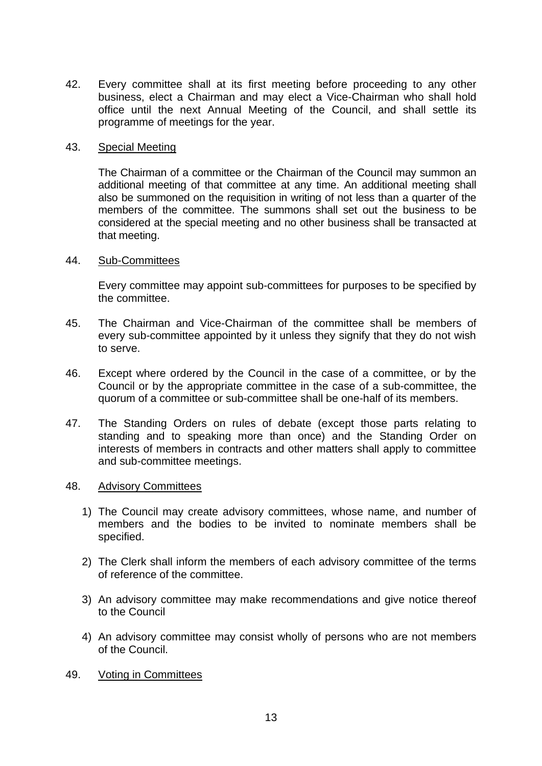42. Every committee shall at its first meeting before proceeding to any other business, elect a Chairman and may elect a Vice-Chairman who shall hold office until the next Annual Meeting of the Council, and shall settle its programme of meetings for the year.

# 43. Special Meeting

The Chairman of a committee or the Chairman of the Council may summon an additional meeting of that committee at any time. An additional meeting shall also be summoned on the requisition in writing of not less than a quarter of the members of the committee. The summons shall set out the business to be considered at the special meeting and no other business shall be transacted at that meeting.

# 44. Sub-Committees

Every committee may appoint sub-committees for purposes to be specified by the committee.

- 45. The Chairman and Vice-Chairman of the committee shall be members of every sub-committee appointed by it unless they signify that they do not wish to serve.
- 46. Except where ordered by the Council in the case of a committee, or by the Council or by the appropriate committee in the case of a sub-committee, the quorum of a committee or sub-committee shall be one-half of its members.
- 47. The Standing Orders on rules of debate (except those parts relating to standing and to speaking more than once) and the Standing Order on interests of members in contracts and other matters shall apply to committee and sub-committee meetings.

#### 48. Advisory Committees

- 1) The Council may create advisory committees, whose name, and number of members and the bodies to be invited to nominate members shall be specified.
- 2) The Clerk shall inform the members of each advisory committee of the terms of reference of the committee.
- 3) An advisory committee may make recommendations and give notice thereof to the Council
- 4) An advisory committee may consist wholly of persons who are not members of the Council.
- 49. Voting in Committees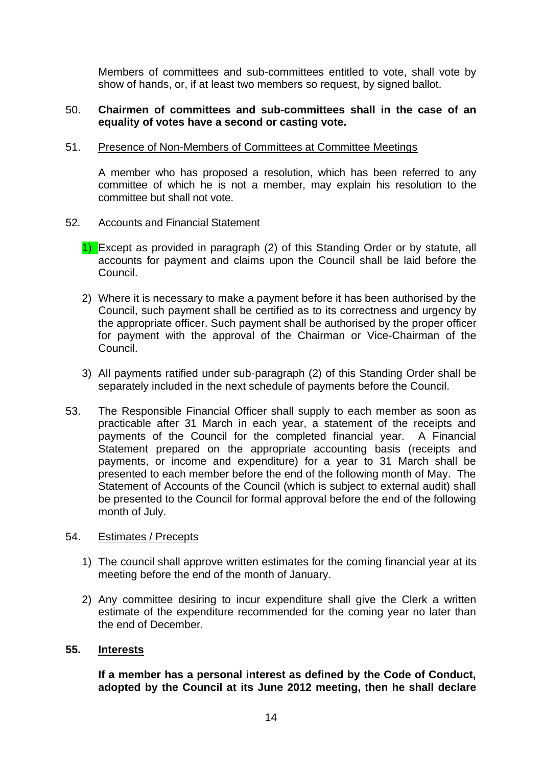Members of committees and sub-committees entitled to vote, shall vote by show of hands, or, if at least two members so request, by signed ballot.

# 50. **Chairmen of committees and sub-committees shall in the case of an equality of votes have a second or casting vote.**

# 51. Presence of Non-Members of Committees at Committee Meetings

A member who has proposed a resolution, which has been referred to any committee of which he is not a member, may explain his resolution to the committee but shall not vote.

# 52. Accounts and Financial Statement

- 1) Except as provided in paragraph (2) of this Standing Order or by statute, all accounts for payment and claims upon the Council shall be laid before the Council.
- 2) Where it is necessary to make a payment before it has been authorised by the Council, such payment shall be certified as to its correctness and urgency by the appropriate officer. Such payment shall be authorised by the proper officer for payment with the approval of the Chairman or Vice-Chairman of the Council.
- 3) All payments ratified under sub-paragraph (2) of this Standing Order shall be separately included in the next schedule of payments before the Council.
- 53. The Responsible Financial Officer shall supply to each member as soon as practicable after 31 March in each year, a statement of the receipts and payments of the Council for the completed financial year. A Financial Statement prepared on the appropriate accounting basis (receipts and payments, or income and expenditure) for a year to 31 March shall be presented to each member before the end of the following month of May. The Statement of Accounts of the Council (which is subject to external audit) shall be presented to the Council for formal approval before the end of the following month of July.

# 54. Estimates / Precepts

- 1) The council shall approve written estimates for the coming financial year at its meeting before the end of the month of January.
- 2) Any committee desiring to incur expenditure shall give the Clerk a written estimate of the expenditure recommended for the coming year no later than the end of December.

#### **55. Interests**

**If a member has a personal interest as defined by the Code of Conduct, adopted by the Council at its June 2012 meeting, then he shall declare**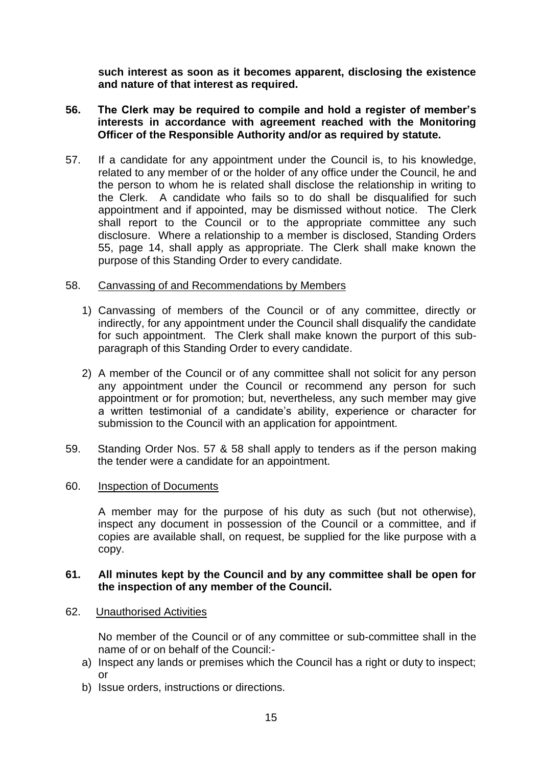**such interest as soon as it becomes apparent, disclosing the existence and nature of that interest as required.**

- **56. The Clerk may be required to compile and hold a register of member's interests in accordance with agreement reached with the Monitoring Officer of the Responsible Authority and/or as required by statute.**
- 57. If a candidate for any appointment under the Council is, to his knowledge, related to any member of or the holder of any office under the Council, he and the person to whom he is related shall disclose the relationship in writing to the Clerk. A candidate who fails so to do shall be disqualified for such appointment and if appointed, may be dismissed without notice. The Clerk shall report to the Council or to the appropriate committee any such disclosure. Where a relationship to a member is disclosed, Standing Orders 55, page 14, shall apply as appropriate. The Clerk shall make known the purpose of this Standing Order to every candidate.

# 58. Canvassing of and Recommendations by Members

- 1) Canvassing of members of the Council or of any committee, directly or indirectly, for any appointment under the Council shall disqualify the candidate for such appointment. The Clerk shall make known the purport of this subparagraph of this Standing Order to every candidate.
- 2) A member of the Council or of any committee shall not solicit for any person any appointment under the Council or recommend any person for such appointment or for promotion; but, nevertheless, any such member may give a written testimonial of a candidate's ability, experience or character for submission to the Council with an application for appointment.
- 59. Standing Order Nos. 57 & 58 shall apply to tenders as if the person making the tender were a candidate for an appointment.

#### 60. Inspection of Documents

A member may for the purpose of his duty as such (but not otherwise), inspect any document in possession of the Council or a committee, and if copies are available shall, on request, be supplied for the like purpose with a copy.

#### **61. All minutes kept by the Council and by any committee shall be open for the inspection of any member of the Council.**

62. Unauthorised Activities

No member of the Council or of any committee or sub-committee shall in the name of or on behalf of the Council:-

- a) Inspect any lands or premises which the Council has a right or duty to inspect;  $\alpha$ r
- b) Issue orders, instructions or directions.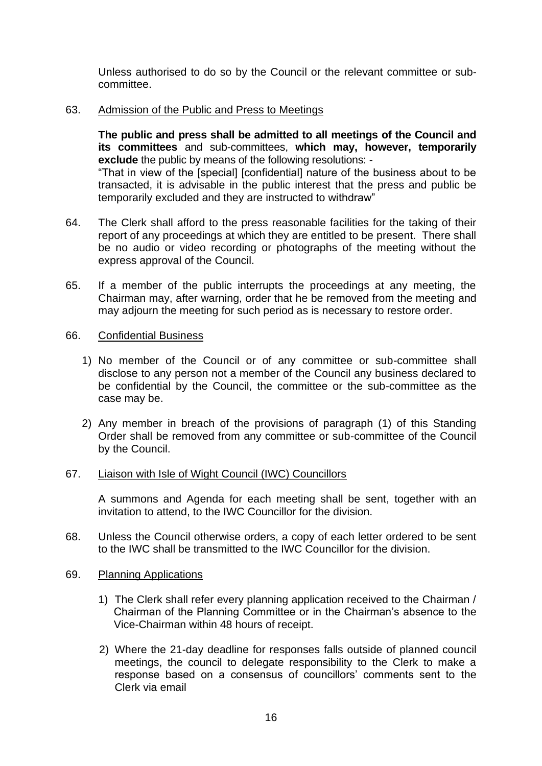Unless authorised to do so by the Council or the relevant committee or subcommittee.

#### 63. Admission of the Public and Press to Meetings

**The public and press shall be admitted to all meetings of the Council and its committees** and sub-committees, **which may, however, temporarily exclude** the public by means of the following resolutions: - "That in view of the [special] [confidential] nature of the business about to be transacted, it is advisable in the public interest that the press and public be temporarily excluded and they are instructed to withdraw"

- 64. The Clerk shall afford to the press reasonable facilities for the taking of their report of any proceedings at which they are entitled to be present. There shall be no audio or video recording or photographs of the meeting without the express approval of the Council.
- 65. If a member of the public interrupts the proceedings at any meeting, the Chairman may, after warning, order that he be removed from the meeting and may adjourn the meeting for such period as is necessary to restore order.

#### 66. Confidential Business

- 1) No member of the Council or of any committee or sub-committee shall disclose to any person not a member of the Council any business declared to be confidential by the Council, the committee or the sub-committee as the case may be.
- 2) Any member in breach of the provisions of paragraph (1) of this Standing Order shall be removed from any committee or sub-committee of the Council by the Council.

#### 67. Liaison with Isle of Wight Council (IWC) Councillors

A summons and Agenda for each meeting shall be sent, together with an invitation to attend, to the IWC Councillor for the division.

- 68. Unless the Council otherwise orders, a copy of each letter ordered to be sent to the IWC shall be transmitted to the IWC Councillor for the division.
- 69. Planning Applications
	- 1) The Clerk shall refer every planning application received to the Chairman / Chairman of the Planning Committee or in the Chairman's absence to the Vice-Chairman within 48 hours of receipt.
	- 2) Where the 21-day deadline for responses falls outside of planned council meetings, the council to delegate responsibility to the Clerk to make a response based on a consensus of councillors' comments sent to the Clerk via email